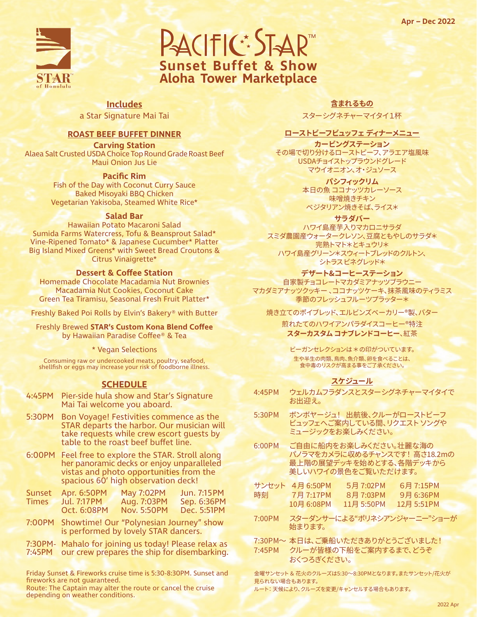

PACIFIC: STAR **Sunset Buffet & Show Aloha Tower Marketplace**

**Includes** a Star Signature Mai Tai

#### **ROAST BEEF BUFFET DINNER**

**Carving Station** Alaea Salt Crusted USDA Choice Top Round Grade Roast Beef Maui Onion Jus Lie

#### **Pacific Rim**

Fish of the Day with Coconut Curry Sauce Baked Misoyaki BBQ Chicken Vegetarian Yakisoba, Steamed White Rice\*

#### **Salad Bar**

Hawaiian Potato Macaroni Salad Sumida Farms Watercress, Tofu & Beansprout Salad\* Vine-Ripened Tomato\* & Japanese Cucumber\* Platter Big Island Mixed Greens\* with Sweet Bread Croutons & Citrus Vinaigrette\*

#### **Dessert & Coffee Station**

Homemade Chocolate Macadamia Nut Brownies Macadamia Nut Cookies, Coconut Cake Green Tea Tiramisu, Seasonal Fresh Fruit Platter\*

Freshly Baked Poi Rolls by Elvin's Bakery® with Butter

Freshly Brewed **STAR's Custom Kona Blend Coffee** by Hawaiian Paradise Coffee® & Tea

\* Vegan Selections

Consuming raw or undercooked meats, poultry, seafood, shellfish or eggs may increase your risk of foodborne illness.

#### **SCHEDULE**

- 4:45PM Pier-side hula show and Star's Signature Mai Tai welcome you aboard.
- 5:30PM Bon Voyage! Festivities commence as the STAR departs the harbor. Our musician will take requests while crew escort guests by table to the roast beef buffet line.
- 6:00PM Feel free to explore the STAR. Stroll along her panoramic decks or enjoy unparalleled vistas and photo opportunities from the spacious 60' high observation deck!

|       | Sunset Apr. 6:50PM | <b>May 7:02PM</b> | Jun. 7:15 PM |
|-------|--------------------|-------------------|--------------|
| Times | Jul. 7:17 PM       | Aug. 7:03PM       | Sep. 6:36PM  |
|       | Oct. 6:08PM        | Nov. 5:50PM       | Dec. 5:51PM  |

7:00PM Showtime! Our "Polynesian Journey" show is performed by lovely STAR dancers.

7:30PM- Mahalo for joining us today! Please relax as 7:45PM our crew prepares the ship for disembarking.

Friday Sunset & Fireworks cruise time is 5:30-8:30PM. Sunset and fireworks are not guaranteed.

Route: The Captain may alter the route or cancel the cruise depending on weather conditions.

**含まれるもの**

スターシグネチャーマイタイ1杯

#### **ローストビーフビュッフェ ディナーメニュー**

**カービングステーション**  その場で切り分けるローストビーフ、アラエア塩風味 USDAチョイストップラウンドグレード マウイオニオン、オ・ジュソース

> **パシフィックリム** 本日の魚 ココナッツカレーソース 味噌焼きチキン ベジタリアン焼きそば、ライス\*

> > **サラダバー**

ハワイ島産芋入りマカロニサラダ スミダ農園産ウォータークレソン、豆腐ともやしのサラダ\* 完熟トマト\*とキュウリ\* ハワイ島産グリーン\*スウィートブレッドのクルトン、 シトラス ビネグレッド\*

**デザート&コーヒーステーション**

自家製チョコレートマカダミアナッツブラウニー マカダミアナッツクッキー 、ココナッツケーキ、抹茶風味のティラミス 季節のフレッシュフルーツプラッター\*

焼き立てのポイブレッド、エルビンズベーカリー®製、バター

煎れたてのハワイアンパラダイスコーヒー®特注 **スターカスタムコナブレンドコーヒー**、紅茶

ビーガンセレクションは \* の印がついています。 生や半生の肉類、鳥肉、魚介類、卵を食べることは、 食中毒のリスクが高まる事をご了承ください。

### **スケジュール**

| 4:45PM | ウェルカムフラダンスとスターシグネチャーマイタイで<br>お出迎え。                                                                      |
|--------|---------------------------------------------------------------------------------------------------------|
| 5:30PM | ボンボヤージュ! 出航後、クルーがローストビーフ<br>ビュッフェへご案内している間、リクエスト ソングや<br>ミュージックをお楽しみください。                               |
| 6:00PM | ご自由に船内をお楽しみください。壮麗な海の<br>パノラマをカメラに収めるチャンスです! 高さ18.2mの<br>最上階の展望デッキを始めとする、各階デッキから<br>美しいハワイの景色をご覧いただけます。 |

|    | サンセット 4月 6:50PM | 5月 7:02PM  | 6月 7:15PM  |
|----|-----------------|------------|------------|
| 時刻 | 7月 7:17PM       | 8月 7:03PM  | 9月 6:36PM  |
|    | 10月 6:08PM      | 11月 5:50PM | 12月 5:51PM |

- 7:00PM スターダンサーによる"ポリネシアンジャーニー"ショーが 始まります。
- 7:30PM~ 本日は、ご乗船いただきありがとうございました! 7:45PM クルーが皆様の下船をご案内するまで、どうぞ おくつろぎください。

金曜サンセット & 花火のクルーズは5:30~8:30PMとなります。またサンセット/花火が 見られない場合もあります。

ルート: 天候により、クルーズを変更/キャンセルする場合もあります。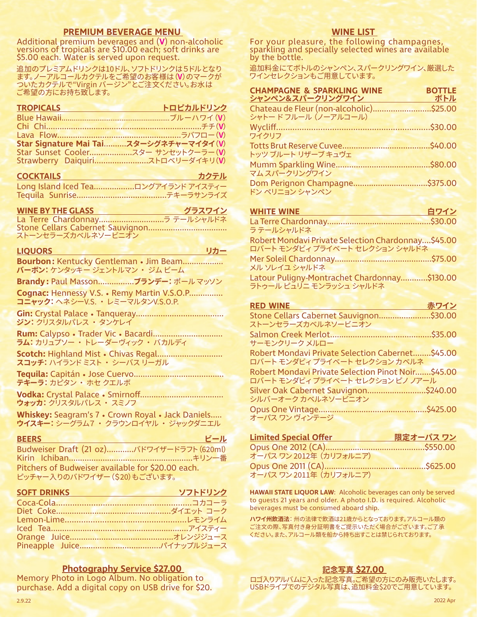**PREMIUM BEVERAGE MENU**<br>Additional premium beverages and (V) non-alcoholic versions of tropicals are \$10.00 each; soft drinks are \$5.00 each. Water is served upon request.

追加のプレミアムドリンクは10ドル、ソフトドリンクは5ドルとなり ます。ノーアルコールカクテルをご希望のお客様は(**V**)のマークが ついたカクテルで"Virgin バージン"とご注文ください。お水は ご希望の方にお持ち致します。

| <b>TROPICALS</b>                        | トロピカルドリンク |
|-----------------------------------------|-----------|
|                                         |           |
|                                         |           |
|                                         |           |
| Star Signature Mai Tai スターシグネチャーマイタイ(V) |           |
|                                         |           |
|                                         |           |

| <b>COCKTAILS</b>                     | カクテル |
|--------------------------------------|------|
| Long Island Iced Tea ロングアイランド アイスティー |      |
|                                      |      |

#### **WINE BY THE GLASS グラスワイン**

La Terre Chardonnay.............................ラ テールシャルドネ Stone Cellars Cabernet Sauvignon................................... ストーンセラーズカベルネソービニオン

#### **LIQUORS** リカー

**Bourbon:** Kentucky Gentleman • Jim Beam.................. **バーボン:** ケンタッキー ジェントルマン ・ ジム ビーム

**Brandy :** Paul Masson................**ブランデー:** ポール マッソン

**Cognac:** Hennessy V.S. • Remy Martin V.S.O.P............... **コニャック:** ヘネシーV.S. ・ レミーマルタンV.S.O.P.

**Gin:** Crystal Palace • Tanqueray....................................... **ジン:** クリスタルパレス ・ タンケレイ

**Rum:** Calypso • Trader Vic • Bacardi............................... **ラム:** カリュプソー ・ トレーダーヴィック ・ バカルディ

Scotch: Highland Mist . Chivas Regal.............................. **スコッチ:** ハイランド ミスト ・ シーバス リーガル

**Tequila:** Capitán • Jose Cuervo........................................ **テキーラ:** カピタン ・ ホセ クエルボ

**Vodka:** Crystal Palace • Smirnoff..................................... **ウォッカ:** クリスタルパレス ・ スミノフ

**Whiskey:** Seagram's 7 • Crown Royal • Jack Daniels..... **ウイスキー:** シーグラム7 ・ クラウンロイヤル ・ ジャックダニエル

#### <u>BEERS ビール</u> こくしゃ ビール

Budweiser Draft (21 oz)............バドワイザードラフト(620ml) Kirin Ichiban.......................................................キリン一番 Pitchers of Budweiser available for \$20.00 each. ピッチャー入りのバドワイザー(\$20)もございます。

#### **SOFT DRINKS ソフトドリンク**

| $\sim$ . Finite the set of $\sim$ , and $\sim$ , and $\sim$ , and $\sim$ , and $\sim$ , and $\sim$ , and $\sim$ , and $\sim$ , and $\sim$ , and $\sim$ , and $\sim$ , and $\sim$ , and $\sim$ , and $\sim$ , and $\sim$ , and $\sim$ , and $\sim$ , and $\sim$ , an |  |
|---------------------------------------------------------------------------------------------------------------------------------------------------------------------------------------------------------------------------------------------------------------------|--|
|                                                                                                                                                                                                                                                                     |  |
|                                                                                                                                                                                                                                                                     |  |
|                                                                                                                                                                                                                                                                     |  |
|                                                                                                                                                                                                                                                                     |  |
|                                                                                                                                                                                                                                                                     |  |
|                                                                                                                                                                                                                                                                     |  |
|                                                                                                                                                                                                                                                                     |  |

#### **Photography Service \$27.00**

Memory Photo in Logo Album. No obligation to purchase. Add a digital copy on USB drive for \$20.

#### **WINE LIST**

For your pleasure, the following champagnes, sparkling and specially selected wines are available by the bottle.

追加料金にてボトルのシャンペン、スパークリングワイン、厳選した ワインセレクションもご用意しています。

| <b>CHAMPAGNE &amp; SPARKLING WINE</b><br>シャンペン&スパークリングワイン      | <b>BOTTLE</b><br>ボトル |
|----------------------------------------------------------------|----------------------|
| Chateau de Fleur (non-alcoholic)\$25.00<br>シャトードフルール (ノーアルコール) |                      |
| ワイクリフ                                                          |                      |
| トッツ ブルート リザーブ キュヴェ                                             |                      |
| マムスパークリングワイン                                                   |                      |
| ドン ペリニョン シャンペン                                                 |                      |

| <b>WHITE WINE</b>                                  | 白ワイン |
|----------------------------------------------------|------|
|                                                    |      |
| ラテールシャルドネ                                          |      |
| Robert Mondavi Private Selection Chardonnay\$45.00 |      |
| ロバート モンダビィ プライベート セレクション シャルドネ                     |      |
|                                                    |      |
| メル ソレイユ シャルドネ                                      |      |
| Latour Puligny-Montrachet Chardonnay\$130.00       |      |
| ラトゥール ピュリニ モンラッシュ シャルドネ                            |      |

| <b>RED WINE</b>                                                                        | 赤ワイン |
|----------------------------------------------------------------------------------------|------|
| Stone Cellars Cabernet Sauvignon\$30.00                                                |      |
| ストーンセラーズカベルネソービニオン                                                                     |      |
| サーモンクリーク メルロー                                                                          |      |
| Robert Mondavi Private Selection Cabernet\$45.00<br>ロバート モンダビィ プライベート セレクション カベルネ      |      |
| Robert Mondavi Private Selection Pinot Noir\$45.00<br>ロバート モンダビィ プライベート セレクション ピノ ノアール |      |
| Silver Oak Cabernet Sauvignon\$240.00<br>シルバーオーク カベルネソードニオン                            |      |
| オーパス ワン ヴィンテージ                                                                         |      |
|                                                                                        |      |

| <b>Limited Special Offer</b> | 限定オーパス ワン |
|------------------------------|-----------|
|                              |           |
| オーパス ワン 2012年 (カリフォルニア)      |           |
|                              |           |
| オーパス ワン 2011年 (カリフォルニア)      |           |

**HAWAII STATE LIQUOR LAW**: Alcoholic beverages can only be served to guests 21 years and older. A photo I.D. is required. Alcoholic beverages must be consumed aboard ship.

**ハワイ州飲酒法**: 州の法律で飲酒は21歳からとなっております。アルコール類の ご注文の際、写真付き身分証明書をご提示いただく場合がございます。ご了承 ください。また、アルコール類を船から持ち出すことは禁じられております。

#### **記念写真 \$27.00**

ロゴ入りアルバムに入った記念写真。ご希望の方にのみ販売いたします。 USBドライブでのデジタル写真は、追加料金\$20でご用意しています。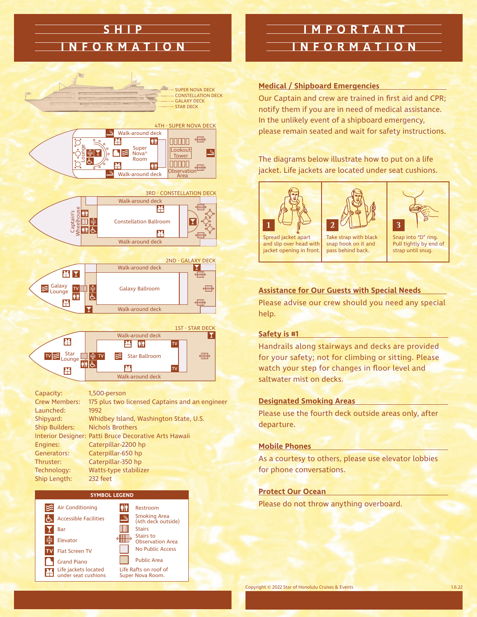## **SHIP INFORMATION**



Launched: 1992 Shipyard: Whidbey Island, Washington State, U.S. Ship Builders: Nichols Brothers Interior Designer: Patti Bruce Decorative Arts Hawaii Engines: Caterpillar-2200 hp Generators: Caterpillar-650 hp Thruster: Caterpillar-350 hp Technology: Watts-type stabilizer Ship Length: 232 feet

#### **SYMBOL LEGEND**



### **IMPORTANT INFORMATION**

#### **Medical / Shipboard Emergencies**

Our Captain and crew are trained in first aid and CPR; notify them if you are in need of medical assistance. In the unlikely event of a shipboard emergency, please remain seated and wait for safety instructions.

#### The diagrams below illustrate how to put on a life jacket. Life jackets are located under seat cushions.





3

and slip over head with jacket opening in front.

Take strap with black snap hook on it and pass behind back.

Snap into "D" ring. Pull tightly by end of strap until snug.

#### **Assistance for Our Guests with Special Needs**

Please advise our crew should you need any special help.

#### **Safety is #1**

Handrails along stairways and decks are provided for your safety; not for climbing or sitting. Please watch your step for changes in floor level and saltwater mist on decks.

#### **Designated Smoking Areas**

Please use the fourth deck outside areas only, after departure.

#### **Mobile Phones**

As a courtesy to others, please use elevator lobbies for phone conversations.

#### **Protect Our Ocean**

Please do not throw anything overboard.